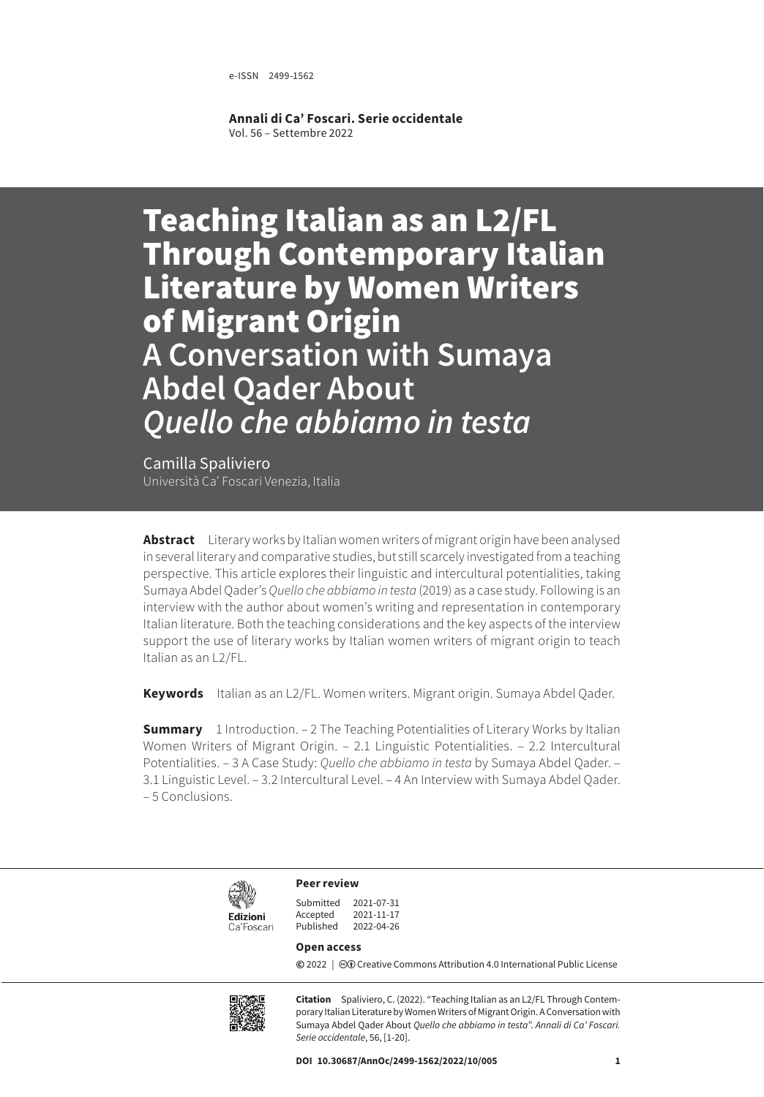e-ISSN 2499-1562

**Annali di Ca' Foscari. Serie occidentale** Vol. 56 – Settembre 2022

Teaching Italian as an L2/FL Through Contemporary Italian Literature by Women Writers of Migrant Origin **A Conversation with Sumaya Abdel Qader About**  *Quello che abbiamo in testa*

Camilla Spaliviero Università Ca' Foscari Venezia, Italia

**Abstract** Literary works by Italian women writers of migrant origin have been analysed in several literary and comparative studies, but still scarcely investigated from a teaching perspective. This article explores their linguistic and intercultural potentialities, taking Sumaya Abdel Qader's *Quello che abbiamo in testa* (2019) as a case study. Following is an interview with the author about women's writing and representation in contemporary Italian literature. Both the teaching considerations and the key aspects of the interview support the use of literary works by Italian women writers of migrant origin to teach Italian as an L2/FL.

**Keywords** Italian as an L2/FL. Women writers. Migrant origin. Sumaya Abdel Qader.

**Summary** 1 Introduction. – 2 The Teaching Potentialities of Literary Works by Italian [Women Writers of Migrant Origin.](#page-1-0) – [2.1 Linguistic Potentialities.](#page-2-0) [– 2.2 Intercultural](#page-5-0)  [Potentialities.](#page-5-0) – 3 A Case Study: *[Quello che abbiamo in testa](#page-7-0)* by Sumaya Abdel Qader. – [3.1 Linguistic Level](#page-8-0)[. – 3.2 Intercultural Level.](#page-10-0) – [4 An Interview with Sumaya Abdel Qader.](#page-11-0) [– 5 Conclusions.](#page-16-0)



**Peer review**

| Submitted | 2021-07-31 |
|-----------|------------|
| Accepted  | 2021-11-17 |
| Published | 2022-04-26 |

#### **Open access**

**©** 2022 | ©**O** [Creative Commons Attribution 4.0 International Public License](https://creativecommons.org/licenses/by/4.0/)



**Citation** Spaliviero, C. (2022). "Teaching Italian as an L2/FL Through Contemporary Italian Literature by Women Writers of Migrant Origin. A Conversation with Sumaya Abdel Qader About *Quello che abbiamo in testa*". *Annali di Ca' Foscari. Serie occidentale*, 56, [1-20].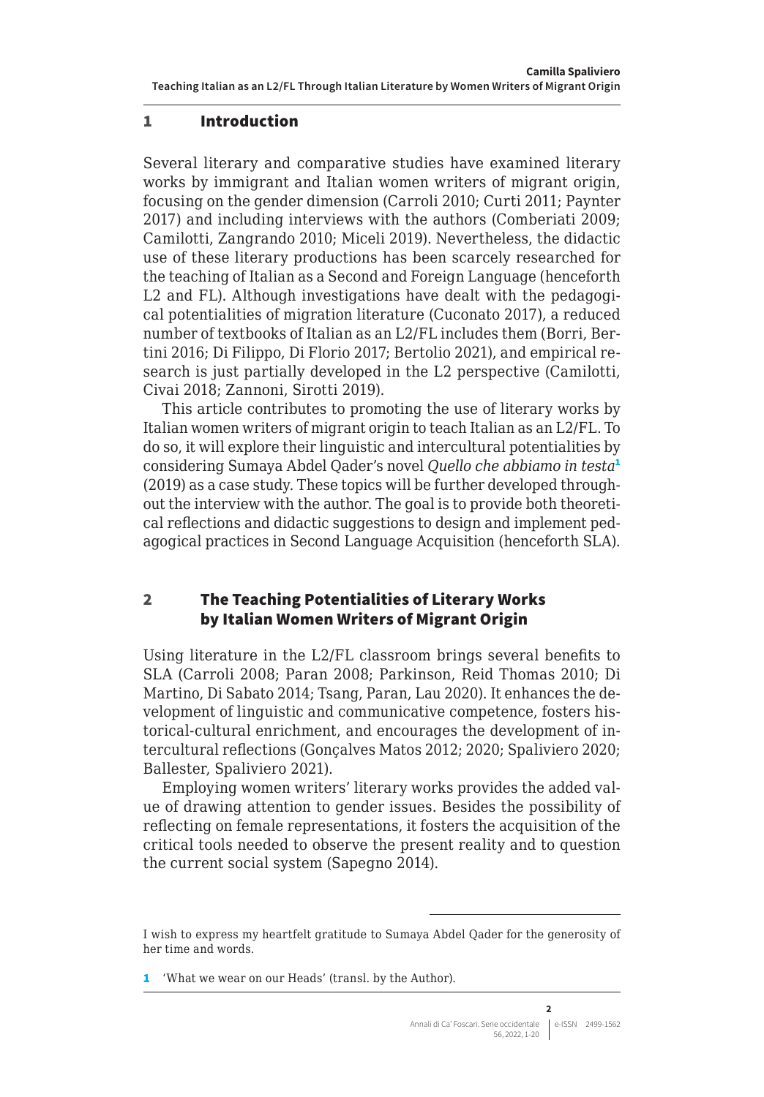## <span id="page-1-0"></span>1 Introduction

Several literary and comparative studies have examined literary works by immigrant and Italian women writers of migrant origin, focusing on the gender dimension (Carroli 2010; Curti 2011; Paynter 2017) and including interviews with the authors (Comberiati 2009; Camilotti, Zangrando 2010; Miceli 2019). Nevertheless, the didactic use of these literary productions has been scarcely researched for the teaching of Italian as a Second and Foreign Language (henceforth L2 and FL). Although investigations have dealt with the pedagogical potentialities of migration literature (Cuconato 2017), a reduced number of textbooks of Italian as an L2/FL includes them (Borri, Bertini 2016; Di Filippo, Di Florio 2017; Bertolio 2021), and empirical research is just partially developed in the L2 perspective (Camilotti, Civai 2018; Zannoni, Sirotti 2019).

This article contributes to promoting the use of literary works by Italian women writers of migrant origin to teach Italian as an L2/FL. To do so, it will explore their linguistic and intercultural potentialities by considering Sumaya Abdel Qader's novel *Quello che abbiamo in testa*<sup>1</sup> (2019) as a case study. These topics will be further developed throughout the interview with the author. The goal is to provide both theoretical reflections and didactic suggestions to design and implement pedagogical practices in Second Language Acquisition (henceforth SLA).

## 2 The Teaching Potentialities of Literary Works by Italian Women Writers of Migrant Origin

Using literature in the L2/FL classroom brings several benefits to SLA (Carroli 2008; Paran 2008; Parkinson, Reid Thomas 2010; Di Martino, Di Sabato 2014; Tsang, Paran, Lau 2020). It enhances the development of linguistic and communicative competence, fosters historical-cultural enrichment, and encourages the development of intercultural reflections (Gonçalves Matos 2012; 2020; Spaliviero 2020; Ballester, Spaliviero 2021).

Employing women writers' literary works provides the added value of drawing attention to gender issues. Besides the possibility of reflecting on female representations, it fosters the acquisition of the critical tools needed to observe the present reality and to question the current social system (Sapegno 2014).

1 'What we wear on our Heads' (transl. by the Author).

I wish to express my heartfelt gratitude to Sumaya Abdel Qader for the generosity of her time and words.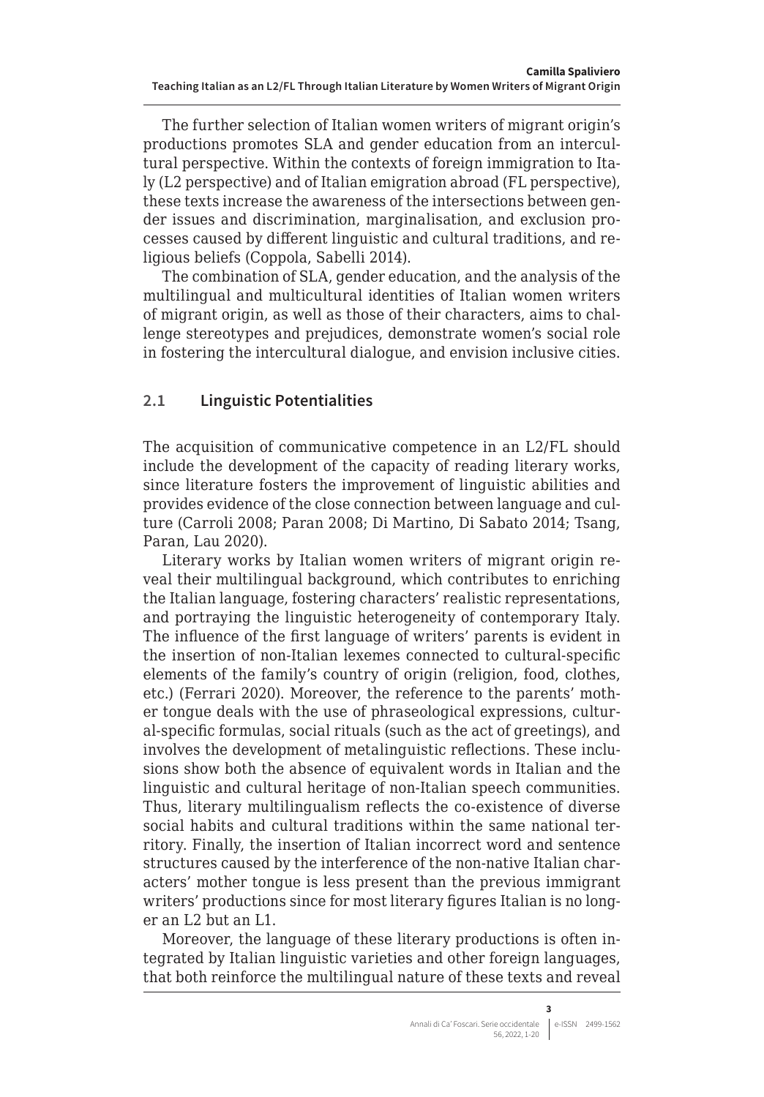<span id="page-2-0"></span>The further selection of Italian women writers of migrant origin's productions promotes SLA and gender education from an intercultural perspective. Within the contexts of foreign immigration to Italy (L2 perspective) and of Italian emigration abroad (FL perspective), these texts increase the awareness of the intersections between gender issues and discrimination, marginalisation, and exclusion processes caused by different linguistic and cultural traditions, and religious beliefs (Coppola, Sabelli 2014).

The combination of SLA, gender education, and the analysis of the multilingual and multicultural identities of Italian women writers of migrant origin, as well as those of their characters, aims to challenge stereotypes and prejudices, demonstrate women's social role in fostering the intercultural dialogue, and envision inclusive cities.

# **2.1 Linguistic Potentialities**

The acquisition of communicative competence in an L2/FL should include the development of the capacity of reading literary works, since literature fosters the improvement of linguistic abilities and provides evidence of the close connection between language and culture (Carroli 2008; Paran 2008; Di Martino, Di Sabato 2014; Tsang, Paran, Lau 2020).

Literary works by Italian women writers of migrant origin reveal their multilingual background, which contributes to enriching the Italian language, fostering characters' realistic representations, and portraying the linguistic heterogeneity of contemporary Italy. The influence of the first language of writers' parents is evident in the insertion of non-Italian lexemes connected to cultural-specific elements of the family's country of origin (religion, food, clothes, etc.) (Ferrari 2020). Moreover, the reference to the parents' mother tongue deals with the use of phraseological expressions, cultural-specific formulas, social rituals (such as the act of greetings), and involves the development of metalinguistic reflections. These inclusions show both the absence of equivalent words in Italian and the linguistic and cultural heritage of non-Italian speech communities. Thus, literary multilingualism reflects the co-existence of diverse social habits and cultural traditions within the same national territory. Finally, the insertion of Italian incorrect word and sentence structures caused by the interference of the non-native Italian characters' mother tongue is less present than the previous immigrant writers' productions since for most literary figures Italian is no longer an L2 but an L1.

Moreover, the language of these literary productions is often integrated by Italian linguistic varieties and other foreign languages, that both reinforce the multilingual nature of these texts and reveal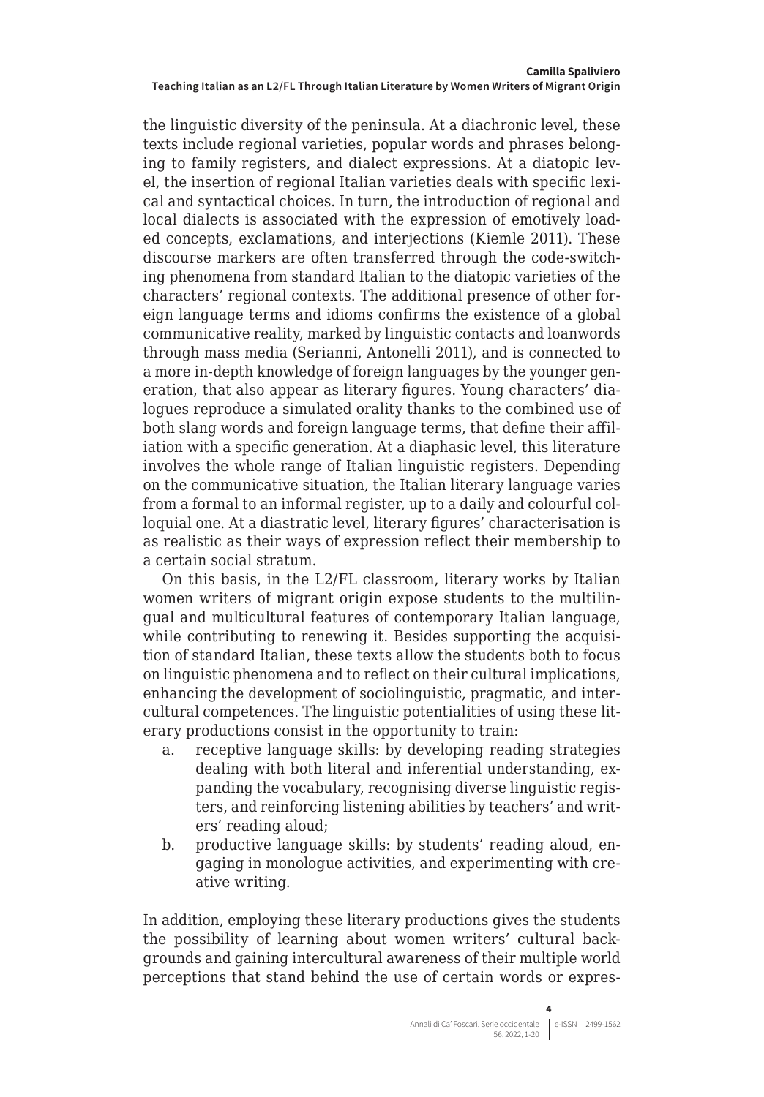the linguistic diversity of the peninsula. At a diachronic level, these texts include regional varieties, popular words and phrases belonging to family registers, and dialect expressions. At a diatopic level, the insertion of regional Italian varieties deals with specific lexical and syntactical choices. In turn, the introduction of regional and local dialects is associated with the expression of emotively loaded concepts, exclamations, and interjections (Kiemle 2011). These discourse markers are often transferred through the code-switching phenomena from standard Italian to the diatopic varieties of the characters' regional contexts. The additional presence of other foreign language terms and idioms confirms the existence of a global communicative reality, marked by linguistic contacts and loanwords through mass media (Serianni, Antonelli 2011), and is connected to a more in-depth knowledge of foreign languages by the younger generation, that also appear as literary figures. Young characters' dialogues reproduce a simulated orality thanks to the combined use of both slang words and foreign language terms, that define their affiliation with a specific generation. At a diaphasic level, this literature involves the whole range of Italian linguistic registers. Depending on the communicative situation, the Italian literary language varies from a formal to an informal register, up to a daily and colourful colloquial one. At a diastratic level, literary figures' characterisation is as realistic as their ways of expression reflect their membership to a certain social stratum.

On this basis, in the L2/FL classroom, literary works by Italian women writers of migrant origin expose students to the multilingual and multicultural features of contemporary Italian language, while contributing to renewing it. Besides supporting the acquisition of standard Italian, these texts allow the students both to focus on linguistic phenomena and to reflect on their cultural implications, enhancing the development of sociolinguistic, pragmatic, and intercultural competences. The linguistic potentialities of using these literary productions consist in the opportunity to train:

- a. receptive language skills: by developing reading strategies dealing with both literal and inferential understanding, expanding the vocabulary, recognising diverse linguistic registers, and reinforcing listening abilities by teachers' and writers' reading aloud;
- b. productive language skills: by students' reading aloud, engaging in monologue activities, and experimenting with creative writing.

In addition, employing these literary productions gives the students the possibility of learning about women writers' cultural backgrounds and gaining intercultural awareness of their multiple world perceptions that stand behind the use of certain words or expres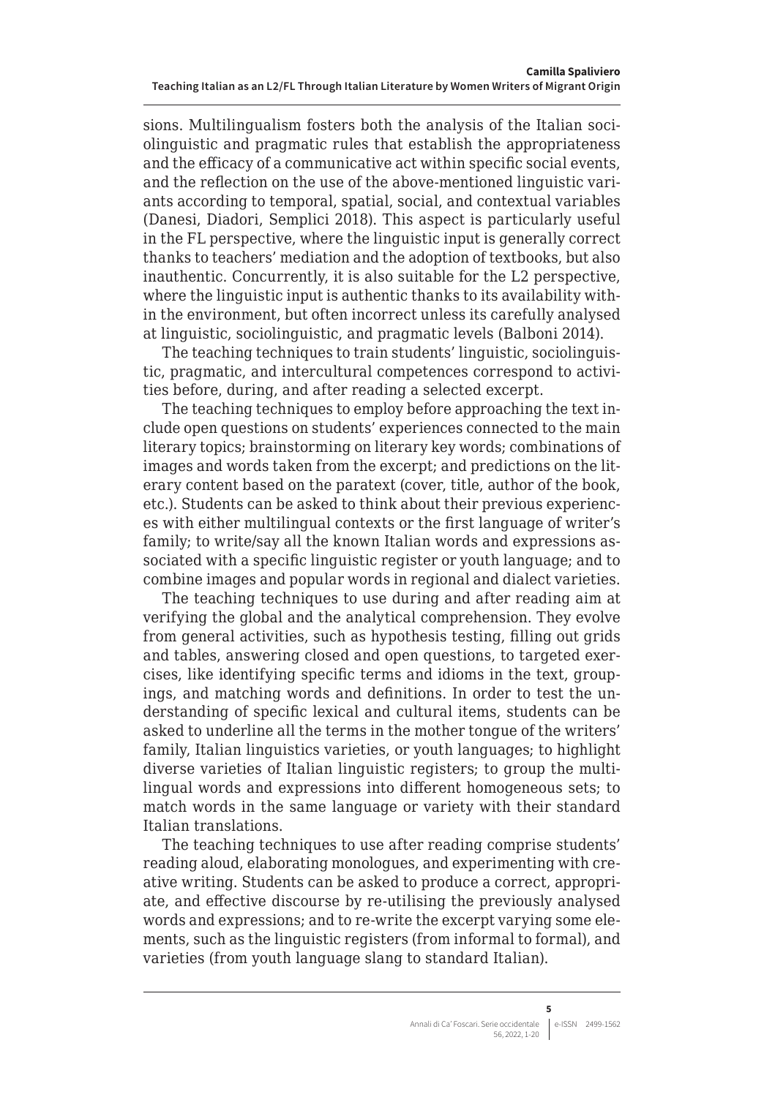sions. Multilingualism fosters both the analysis of the Italian sociolinguistic and pragmatic rules that establish the appropriateness and the efficacy of a communicative act within specific social events, and the reflection on the use of the above-mentioned linguistic variants according to temporal, spatial, social, and contextual variables (Danesi, Diadori, Semplici 2018). This aspect is particularly useful in the FL perspective, where the linguistic input is generally correct thanks to teachers' mediation and the adoption of textbooks, but also inauthentic. Concurrently, it is also suitable for the L2 perspective, where the linguistic input is authentic thanks to its availability within the environment, but often incorrect unless its carefully analysed at linguistic, sociolinguistic, and pragmatic levels (Balboni 2014).

The teaching techniques to train students' linguistic, sociolinguistic, pragmatic, and intercultural competences correspond to activities before, during, and after reading a selected excerpt.

The teaching techniques to employ before approaching the text include open questions on students' experiences connected to the main literary topics; brainstorming on literary key words; combinations of images and words taken from the excerpt; and predictions on the literary content based on the paratext (cover, title, author of the book, etc.). Students can be asked to think about their previous experiences with either multilingual contexts or the first language of writer's family; to write/say all the known Italian words and expressions associated with a specific linguistic register or youth language; and to combine images and popular words in regional and dialect varieties.

The teaching techniques to use during and after reading aim at verifying the global and the analytical comprehension. They evolve from general activities, such as hypothesis testing, filling out grids and tables, answering closed and open questions, to targeted exercises, like identifying specific terms and idioms in the text, groupings, and matching words and definitions. In order to test the understanding of specific lexical and cultural items, students can be asked to underline all the terms in the mother tongue of the writers' family, Italian linguistics varieties, or youth languages; to highlight diverse varieties of Italian linguistic registers; to group the multilingual words and expressions into different homogeneous sets; to match words in the same language or variety with their standard Italian translations.

The teaching techniques to use after reading comprise students' reading aloud, elaborating monologues, and experimenting with creative writing. Students can be asked to produce a correct, appropriate, and effective discourse by re-utilising the previously analysed words and expressions; and to re-write the excerpt varying some elements, such as the linguistic registers (from informal to formal), and varieties (from youth language slang to standard Italian).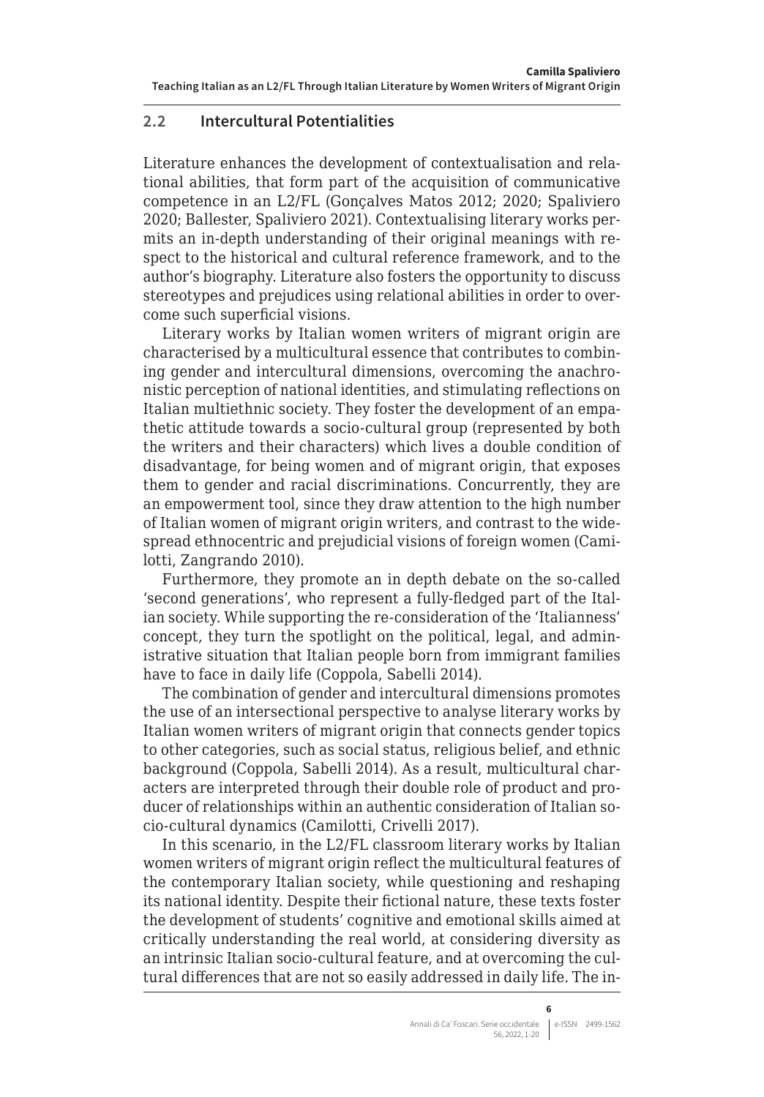## <span id="page-5-0"></span>**2.2 Intercultural Potentialities**

Literature enhances the development of contextualisation and relational abilities, that form part of the acquisition of communicative competence in an L2/FL (Gonçalves Matos 2012; 2020; Spaliviero 2020; Ballester, Spaliviero 2021). Contextualising literary works permits an in-depth understanding of their original meanings with respect to the historical and cultural reference framework, and to the author's biography. Literature also fosters the opportunity to discuss stereotypes and prejudices using relational abilities in order to overcome such superficial visions.

Literary works by Italian women writers of migrant origin are characterised by a multicultural essence that contributes to combining gender and intercultural dimensions, overcoming the anachronistic perception of national identities, and stimulating reflections on Italian multiethnic society. They foster the development of an empathetic attitude towards a socio-cultural group (represented by both the writers and their characters) which lives a double condition of disadvantage, for being women and of migrant origin, that exposes them to gender and racial discriminations. Concurrently, they are an empowerment tool, since they draw attention to the high number of Italian women of migrant origin writers, and contrast to the widespread ethnocentric and prejudicial visions of foreign women (Camilotti, Zangrando 2010).

Furthermore, they promote an in depth debate on the so-called 'second generations', who represent a fully-fledged part of the Italian society. While supporting the re-consideration of the 'Italianness' concept, they turn the spotlight on the political, legal, and administrative situation that Italian people born from immigrant families have to face in daily life (Coppola, Sabelli 2014).

The combination of gender and intercultural dimensions promotes the use of an intersectional perspective to analyse literary works by Italian women writers of migrant origin that connects gender topics to other categories, such as social status, religious belief, and ethnic background (Coppola, Sabelli 2014). As a result, multicultural characters are interpreted through their double role of product and producer of relationships within an authentic consideration of Italian socio-cultural dynamics (Camilotti, Crivelli 2017).

In this scenario, in the L2/FL classroom literary works by Italian women writers of migrant origin reflect the multicultural features of the contemporary Italian society, while questioning and reshaping its national identity. Despite their fictional nature, these texts foster the development of students' cognitive and emotional skills aimed at critically understanding the real world, at considering diversity as an intrinsic Italian socio-cultural feature, and at overcoming the cultural differences that are not so easily addressed in daily life. The in-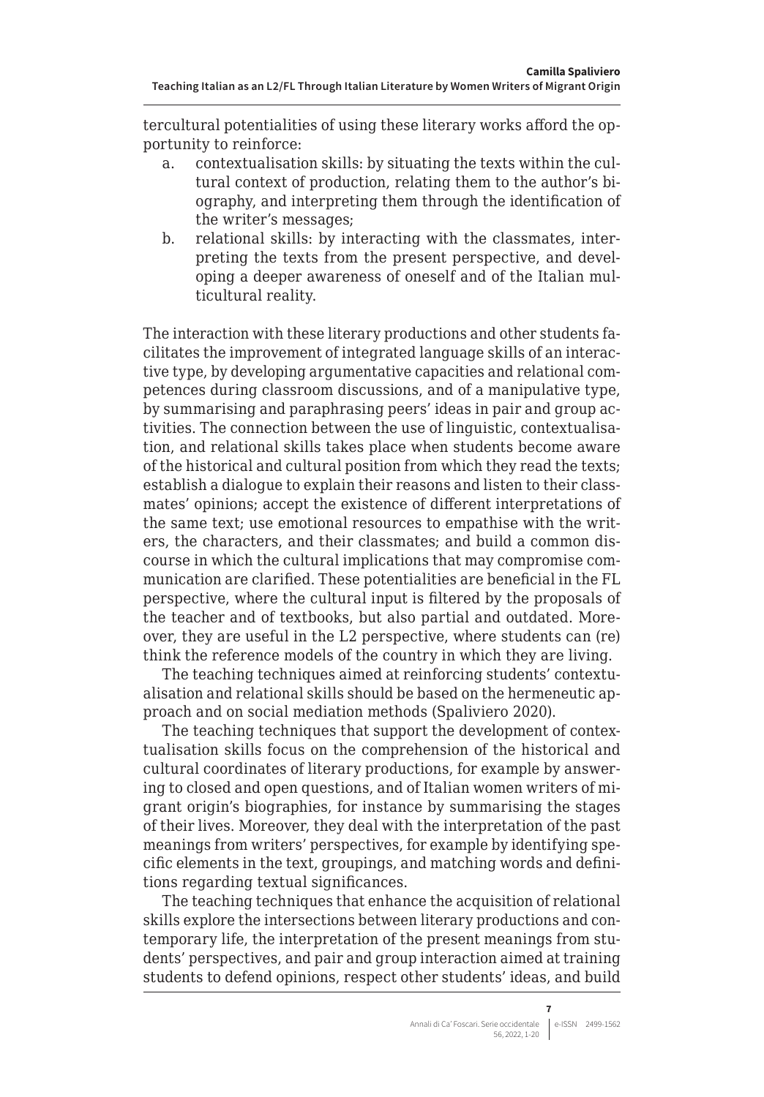tercultural potentialities of using these literary works afford the opportunity to reinforce:

- a. contextualisation skills: by situating the texts within the cultural context of production, relating them to the author's biography, and interpreting them through the identification of the writer's messages;
- b. relational skills: by interacting with the classmates, interpreting the texts from the present perspective, and developing a deeper awareness of oneself and of the Italian multicultural reality.

The interaction with these literary productions and other students facilitates the improvement of integrated language skills of an interactive type, by developing argumentative capacities and relational competences during classroom discussions, and of a manipulative type, by summarising and paraphrasing peers' ideas in pair and group activities. The connection between the use of linguistic, contextualisation, and relational skills takes place when students become aware of the historical and cultural position from which they read the texts; establish a dialogue to explain their reasons and listen to their classmates' opinions; accept the existence of different interpretations of the same text; use emotional resources to empathise with the writers, the characters, and their classmates; and build a common discourse in which the cultural implications that may compromise communication are clarified. These potentialities are beneficial in the FL perspective, where the cultural input is filtered by the proposals of the teacher and of textbooks, but also partial and outdated. Moreover, they are useful in the L2 perspective, where students can (re) think the reference models of the country in which they are living.

The teaching techniques aimed at reinforcing students' contextualisation and relational skills should be based on the hermeneutic approach and on social mediation methods (Spaliviero 2020).

The teaching techniques that support the development of contextualisation skills focus on the comprehension of the historical and cultural coordinates of literary productions, for example by answering to closed and open questions, and of Italian women writers of migrant origin's biographies, for instance by summarising the stages of their lives. Moreover, they deal with the interpretation of the past meanings from writers' perspectives, for example by identifying specific elements in the text, groupings, and matching words and definitions regarding textual significances.

The teaching techniques that enhance the acquisition of relational skills explore the intersections between literary productions and contemporary life, the interpretation of the present meanings from students' perspectives, and pair and group interaction aimed at training students to defend opinions, respect other students' ideas, and build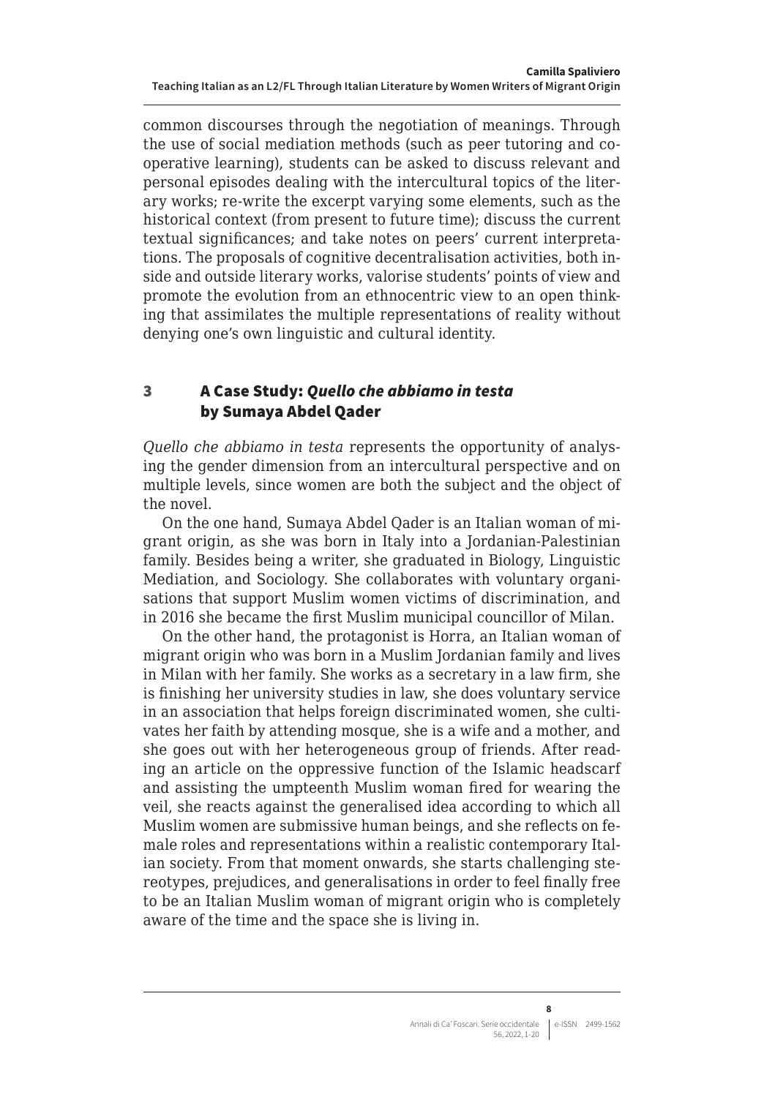<span id="page-7-0"></span>common discourses through the negotiation of meanings. Through the use of social mediation methods (such as peer tutoring and cooperative learning), students can be asked to discuss relevant and personal episodes dealing with the intercultural topics of the literary works; re-write the excerpt varying some elements, such as the historical context (from present to future time); discuss the current textual significances; and take notes on peers' current interpretations. The proposals of cognitive decentralisation activities, both inside and outside literary works, valorise students' points of view and promote the evolution from an ethnocentric view to an open thinking that assimilates the multiple representations of reality without denying one's own linguistic and cultural identity.

# 3 A Case Study: *Quello che abbiamo in testa* by Sumaya Abdel Qader

*Quello che abbiamo in testa* represents the opportunity of analysing the gender dimension from an intercultural perspective and on multiple levels, since women are both the subject and the object of the novel.

On the one hand, Sumaya Abdel Qader is an Italian woman of migrant origin, as she was born in Italy into a Jordanian-Palestinian family. Besides being a writer, she graduated in Biology, Linguistic Mediation, and Sociology. She collaborates with voluntary organisations that support Muslim women victims of discrimination, and in 2016 she became the first Muslim municipal councillor of Milan.

On the other hand, the protagonist is Horra, an Italian woman of migrant origin who was born in a Muslim Jordanian family and lives in Milan with her family. She works as a secretary in a law firm, she is finishing her university studies in law, she does voluntary service in an association that helps foreign discriminated women, she cultivates her faith by attending mosque, she is a wife and a mother, and she goes out with her heterogeneous group of friends. After reading an article on the oppressive function of the Islamic headscarf and assisting the umpteenth Muslim woman fired for wearing the veil, she reacts against the generalised idea according to which all Muslim women are submissive human beings, and she reflects on female roles and representations within a realistic contemporary Italian society. From that moment onwards, she starts challenging stereotypes, prejudices, and generalisations in order to feel finally free to be an Italian Muslim woman of migrant origin who is completely aware of the time and the space she is living in.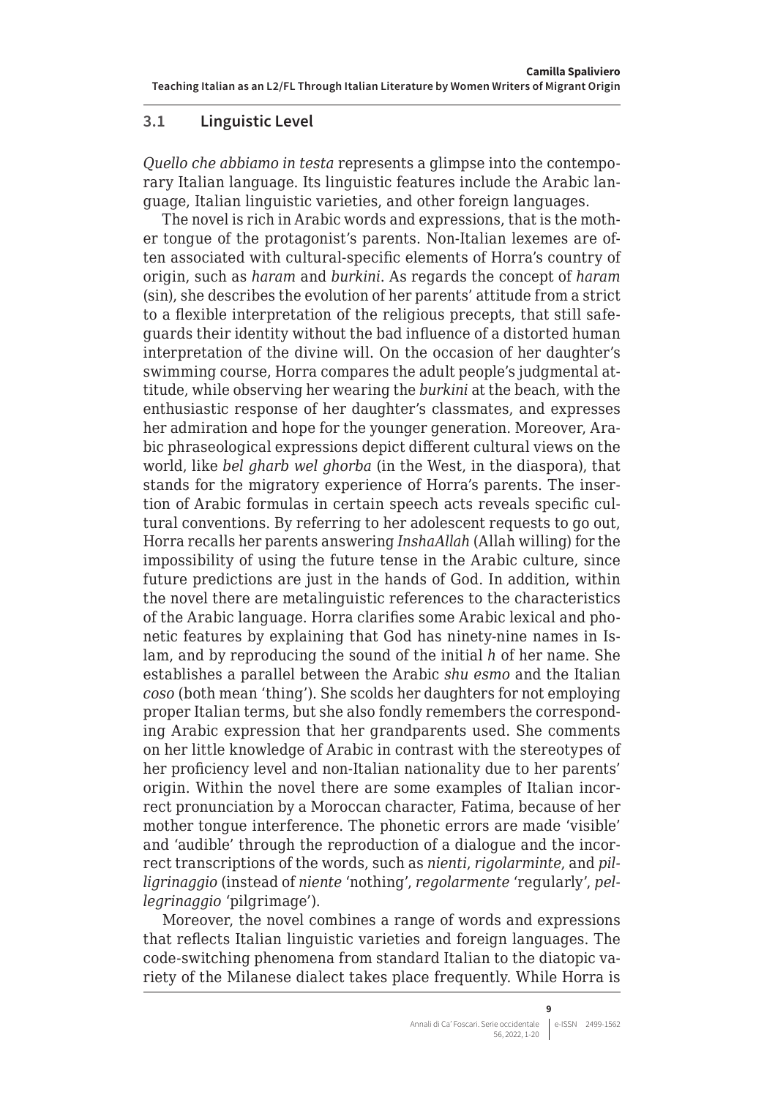## <span id="page-8-0"></span>**3.1 Linguistic Level**

*Quello che abbiamo in testa* represents a glimpse into the contemporary Italian language. Its linguistic features include the Arabic language, Italian linguistic varieties, and other foreign languages.

The novel is rich in Arabic words and expressions, that is the mother tongue of the protagonist's parents. Non-Italian lexemes are often associated with cultural-specific elements of Horra's country of origin, such as *haram* and *burkini*. As regards the concept of *haram* (sin), she describes the evolution of her parents' attitude from a strict to a flexible interpretation of the religious precepts, that still safeguards their identity without the bad influence of a distorted human interpretation of the divine will. On the occasion of her daughter's swimming course, Horra compares the adult people's judgmental attitude, while observing her wearing the *burkini* at the beach, with the enthusiastic response of her daughter's classmates, and expresses her admiration and hope for the younger generation. Moreover, Arabic phraseological expressions depict different cultural views on the world, like *bel gharb wel ghorba* (in the West, in the diaspora), that stands for the migratory experience of Horra's parents. The insertion of Arabic formulas in certain speech acts reveals specific cultural conventions. By referring to her adolescent requests to go out, Horra recalls her parents answering *InshaAllah* (Allah willing) for the impossibility of using the future tense in the Arabic culture, since future predictions are just in the hands of God. In addition, within the novel there are metalinguistic references to the characteristics of the Arabic language. Horra clarifies some Arabic lexical and phonetic features by explaining that God has ninety-nine names in Islam, and by reproducing the sound of the initial *h* of her name. She establishes a parallel between the Arabic *shu esmo* and the Italian *coso* (both mean 'thing'). She scolds her daughters for not employing proper Italian terms, but she also fondly remembers the corresponding Arabic expression that her grandparents used. She comments on her little knowledge of Arabic in contrast with the stereotypes of her proficiency level and non-Italian nationality due to her parents' origin. Within the novel there are some examples of Italian incorrect pronunciation by a Moroccan character, Fatima, because of her mother tongue interference. The phonetic errors are made 'visible' and 'audible' through the reproduction of a dialogue and the incorrect transcriptions of the words, such as *nienti*, *rigolarminte*, and *pilligrinaggio* (instead of *niente* 'nothing', *regolarmente* 'regularly', *pellegrinaggio* 'pilgrimage').

Moreover, the novel combines a range of words and expressions that reflects Italian linguistic varieties and foreign languages. The code-switching phenomena from standard Italian to the diatopic variety of the Milanese dialect takes place frequently. While Horra is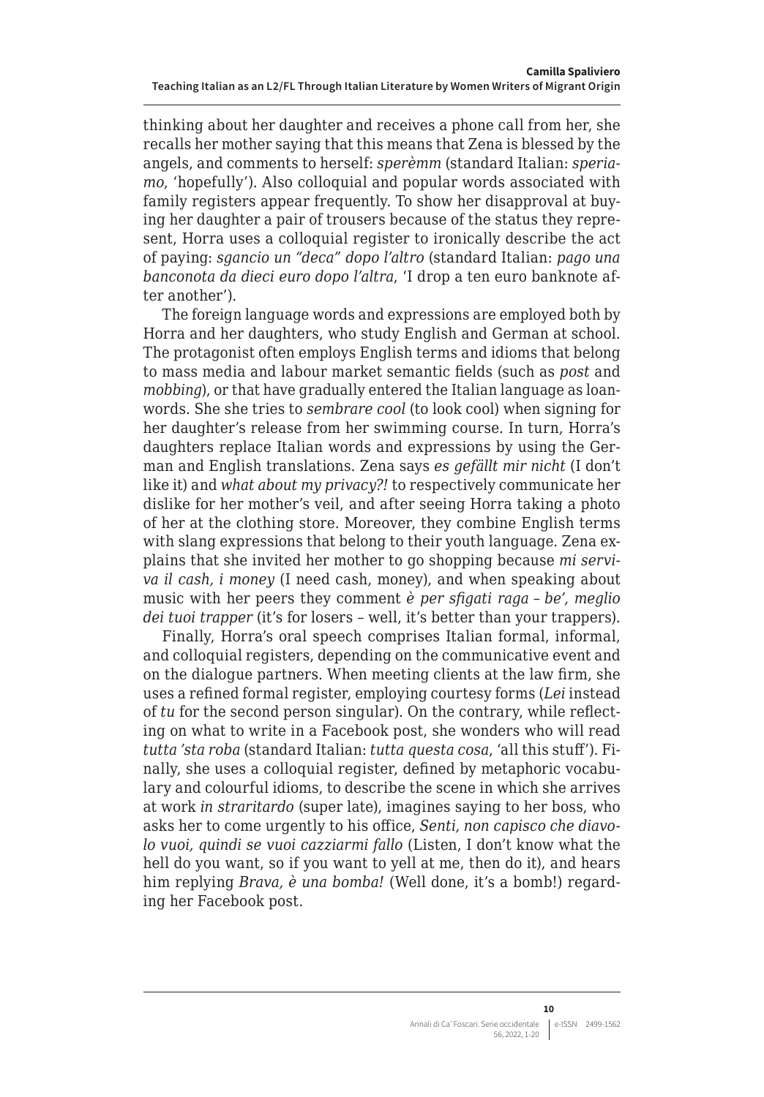thinking about her daughter and receives a phone call from her, she recalls her mother saying that this means that Zena is blessed by the angels, and comments to herself: *sperèmm* (standard Italian: *speriamo*, 'hopefully'). Also colloquial and popular words associated with family registers appear frequently. To show her disapproval at buying her daughter a pair of trousers because of the status they represent, Horra uses a colloquial register to ironically describe the act of paying: *sgancio un "deca" dopo l'altro* (standard Italian: *pago una banconota da dieci euro dopo l'altra*, 'I drop a ten euro banknote after another').

The foreign language words and expressions are employed both by Horra and her daughters, who study English and German at school. The protagonist often employs English terms and idioms that belong to mass media and labour market semantic fields (such as *post* and *mobbing*), or that have gradually entered the Italian language as loanwords. She she tries to *sembrare cool* (to look cool) when signing for her daughter's release from her swimming course. In turn, Horra's daughters replace Italian words and expressions by using the German and English translations. Zena says *es gefällt mir nicht* (I don't like it) and *what about my privacy?!* to respectively communicate her dislike for her mother's veil, and after seeing Horra taking a photo of her at the clothing store. Moreover, they combine English terms with slang expressions that belong to their youth language. Zena explains that she invited her mother to go shopping because *mi serviva il cash, i money* (I need cash, money), and when speaking about music with her peers they comment *è per sfigati raga* – *be', meglio dei tuoi trapper* (it's for losers – well, it's better than your trappers).

Finally, Horra's oral speech comprises Italian formal, informal, and colloquial registers, depending on the communicative event and on the dialogue partners. When meeting clients at the law firm, she uses a refined formal register, employing courtesy forms (*Lei* instead of *tu* for the second person singular). On the contrary, while reflecting on what to write in a Facebook post, she wonders who will read *tutta 'sta roba* (standard Italian: *tutta questa cosa*, 'all this stuff'). Finally, she uses a colloquial register, defined by metaphoric vocabulary and colourful idioms, to describe the scene in which she arrives at work *in straritardo* (super late), imagines saying to her boss, who asks her to come urgently to his office, *Senti, non capisco che diavolo vuoi, quindi se vuoi cazziarmi fallo* (Listen, I don't know what the hell do you want, so if you want to yell at me, then do it), and hears him replying *Brava, è una bomba!* (Well done, it's a bomb!) regarding her Facebook post.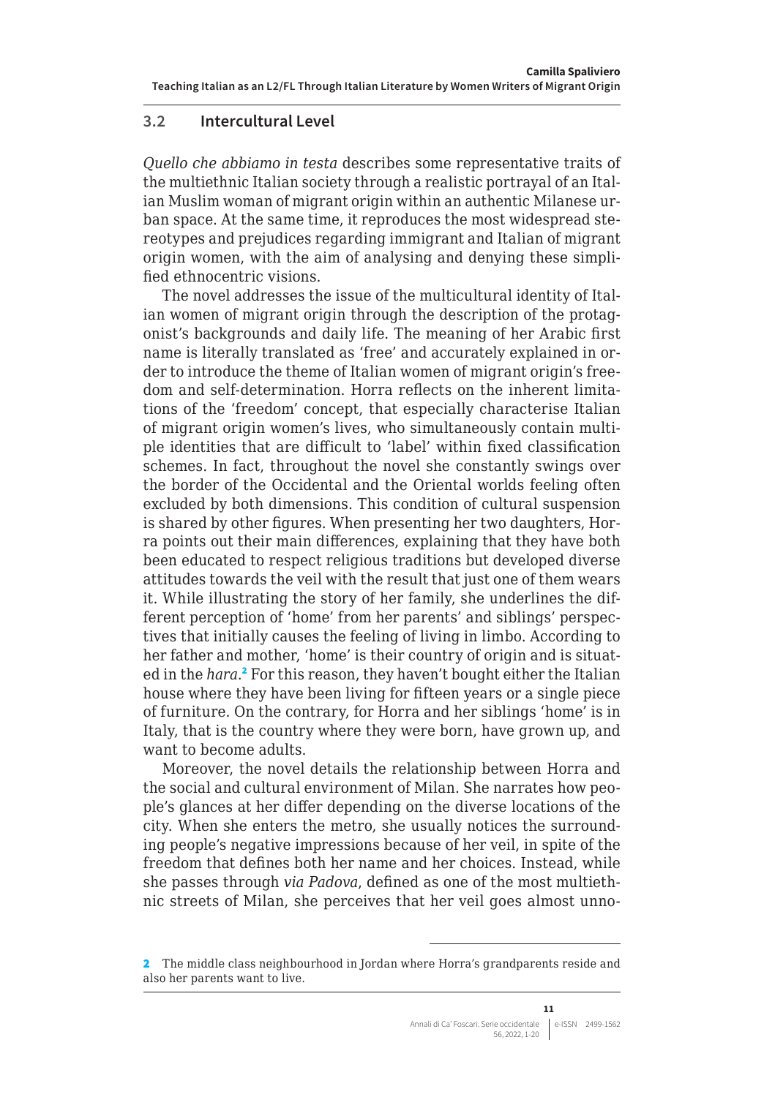## <span id="page-10-0"></span>**3.2 Intercultural Level**

*Quello che abbiamo in testa* describes some representative traits of the multiethnic Italian society through a realistic portrayal of an Italian Muslim woman of migrant origin within an authentic Milanese urban space. At the same time, it reproduces the most widespread stereotypes and prejudices regarding immigrant and Italian of migrant origin women, with the aim of analysing and denying these simplified ethnocentric visions.

The novel addresses the issue of the multicultural identity of Italian women of migrant origin through the description of the protagonist's backgrounds and daily life. The meaning of her Arabic first name is literally translated as 'free' and accurately explained in order to introduce the theme of Italian women of migrant origin's freedom and self-determination. Horra reflects on the inherent limitations of the 'freedom' concept, that especially characterise Italian of migrant origin women's lives, who simultaneously contain multiple identities that are difficult to 'label' within fixed classification schemes. In fact, throughout the novel she constantly swings over the border of the Occidental and the Oriental worlds feeling often excluded by both dimensions. This condition of cultural suspension is shared by other figures. When presenting her two daughters, Horra points out their main differences, explaining that they have both been educated to respect religious traditions but developed diverse attitudes towards the veil with the result that just one of them wears it. While illustrating the story of her family, she underlines the different perception of 'home' from her parents' and siblings' perspectives that initially causes the feeling of living in limbo. According to her father and mother, 'home' is their country of origin and is situated in the *hara*.<sup>2</sup> For this reason, they haven't bought either the Italian house where they have been living for fifteen years or a single piece of furniture. On the contrary, for Horra and her siblings 'home' is in Italy, that is the country where they were born, have grown up, and want to become adults.

Moreover, the novel details the relationship between Horra and the social and cultural environment of Milan. She narrates how people's glances at her differ depending on the diverse locations of the city. When she enters the metro, she usually notices the surrounding people's negative impressions because of her veil, in spite of the freedom that defines both her name and her choices. Instead, while she passes through *via Padova*, defined as one of the most multiethnic streets of Milan, she perceives that her veil goes almost unno-

<sup>2</sup> The middle class neighbourhood in Jordan where Horra's grandparents reside and also her parents want to live.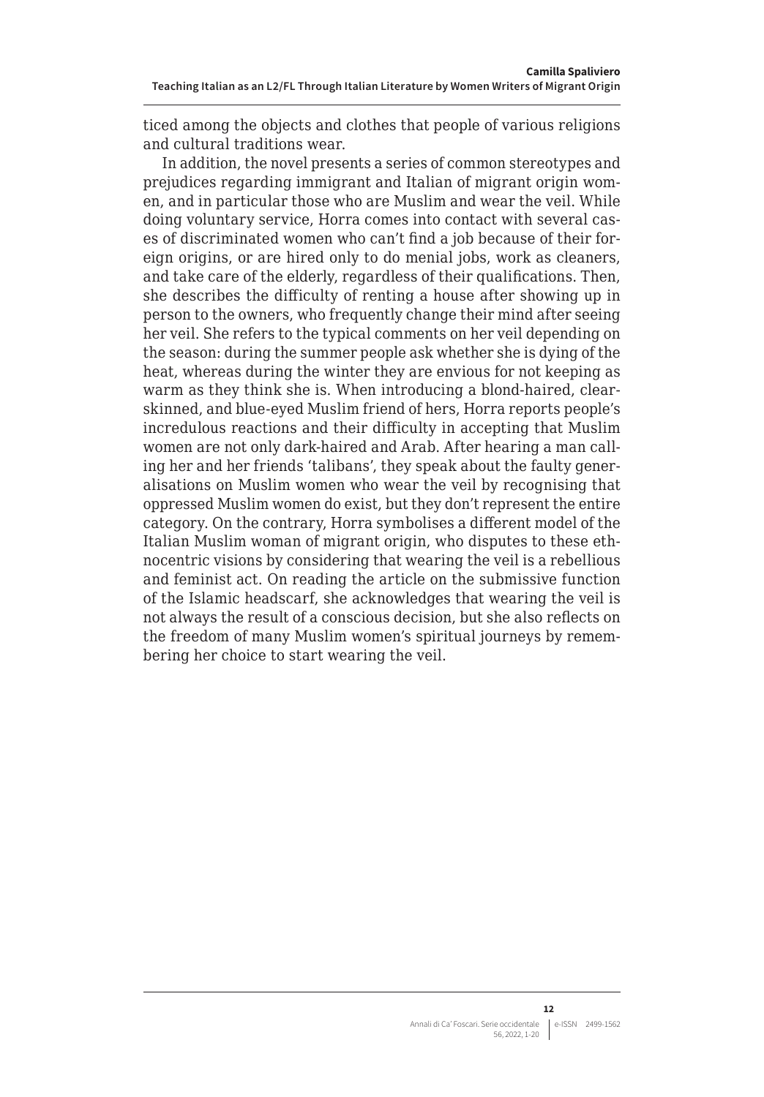<span id="page-11-0"></span>ticed among the objects and clothes that people of various religions and cultural traditions wear.

In addition, the novel presents a series of common stereotypes and prejudices regarding immigrant and Italian of migrant origin women, and in particular those who are Muslim and wear the veil. While doing voluntary service, Horra comes into contact with several cases of discriminated women who can't find a job because of their foreign origins, or are hired only to do menial jobs, work as cleaners, and take care of the elderly, regardless of their qualifications. Then, she describes the difficulty of renting a house after showing up in person to the owners, who frequently change their mind after seeing her veil. She refers to the typical comments on her veil depending on the season: during the summer people ask whether she is dying of the heat, whereas during the winter they are envious for not keeping as warm as they think she is. When introducing a blond-haired, clearskinned, and blue-eyed Muslim friend of hers, Horra reports people's incredulous reactions and their difficulty in accepting that Muslim women are not only dark-haired and Arab. After hearing a man calling her and her friends 'talibans', they speak about the faulty generalisations on Muslim women who wear the veil by recognising that oppressed Muslim women do exist, but they don't represent the entire category. On the contrary, Horra symbolises a different model of the Italian Muslim woman of migrant origin, who disputes to these ethnocentric visions by considering that wearing the veil is a rebellious and feminist act. On reading the article on the submissive function of the Islamic headscarf, she acknowledges that wearing the veil is not always the result of a conscious decision, but she also reflects on the freedom of many Muslim women's spiritual journeys by remembering her choice to start wearing the veil.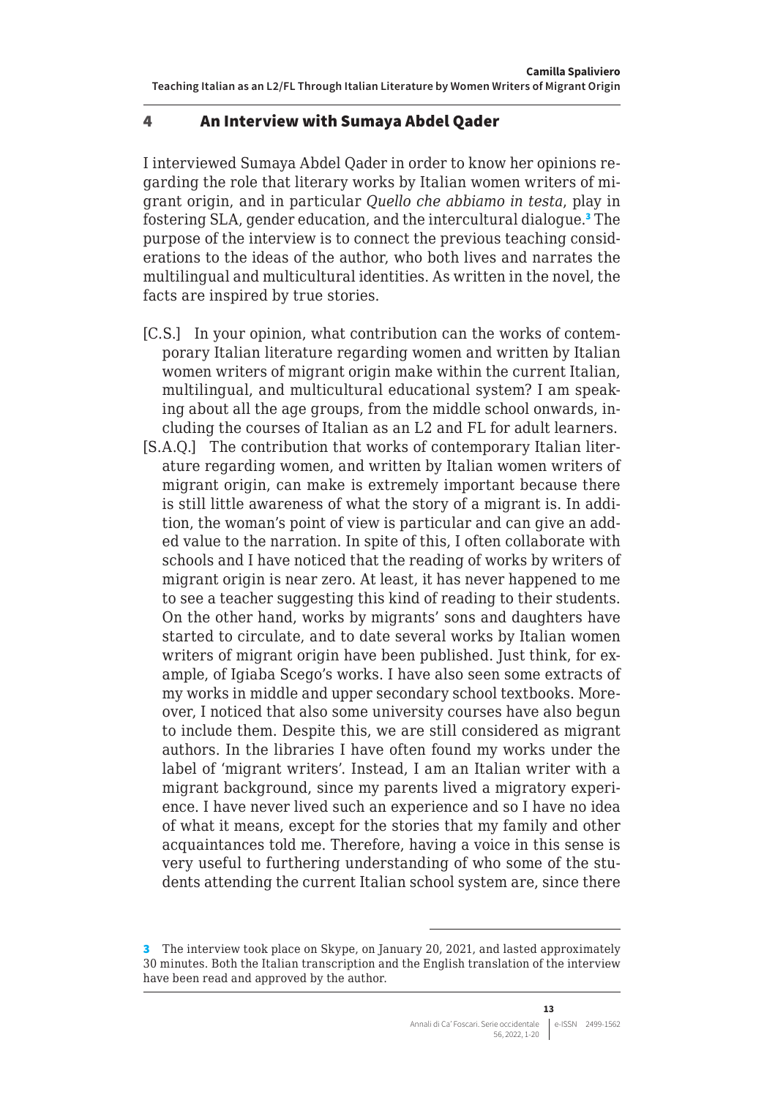## 4 An Interview with Sumaya Abdel Qader

I interviewed Sumaya Abdel Qader in order to know her opinions regarding the role that literary works by Italian women writers of migrant origin, and in particular *Quello che abbiamo in testa*, play in fostering SLA, gender education, and the intercultural dialogue.<sup>3</sup> The purpose of the interview is to connect the previous teaching considerations to the ideas of the author, who both lives and narrates the multilingual and multicultural identities. As written in the novel, the facts are inspired by true stories.

- [C.S.] In your opinion, what contribution can the works of contemporary Italian literature regarding women and written by Italian women writers of migrant origin make within the current Italian, multilingual, and multicultural educational system? I am speaking about all the age groups, from the middle school onwards, including the courses of Italian as an L2 and FL for adult learners.
- [S.A.Q.] The contribution that works of contemporary Italian literature regarding women, and written by Italian women writers of migrant origin, can make is extremely important because there is still little awareness of what the story of a migrant is. In addition, the woman's point of view is particular and can give an added value to the narration. In spite of this, I often collaborate with schools and I have noticed that the reading of works by writers of migrant origin is near zero. At least, it has never happened to me to see a teacher suggesting this kind of reading to their students. On the other hand, works by migrants' sons and daughters have started to circulate, and to date several works by Italian women writers of migrant origin have been published. Just think, for example, of Igiaba Scego's works. I have also seen some extracts of my works in middle and upper secondary school textbooks. Moreover, I noticed that also some university courses have also begun to include them. Despite this, we are still considered as migrant authors. In the libraries I have often found my works under the label of 'migrant writers'. Instead, I am an Italian writer with a migrant background, since my parents lived a migratory experience. I have never lived such an experience and so I have no idea of what it means, except for the stories that my family and other acquaintances told me. Therefore, having a voice in this sense is very useful to furthering understanding of who some of the students attending the current Italian school system are, since there

<sup>3</sup> The interview took place on Skype, on January 20, 2021, and lasted approximately 30 minutes. Both the Italian transcription and the English translation of the interview have been read and approved by the author.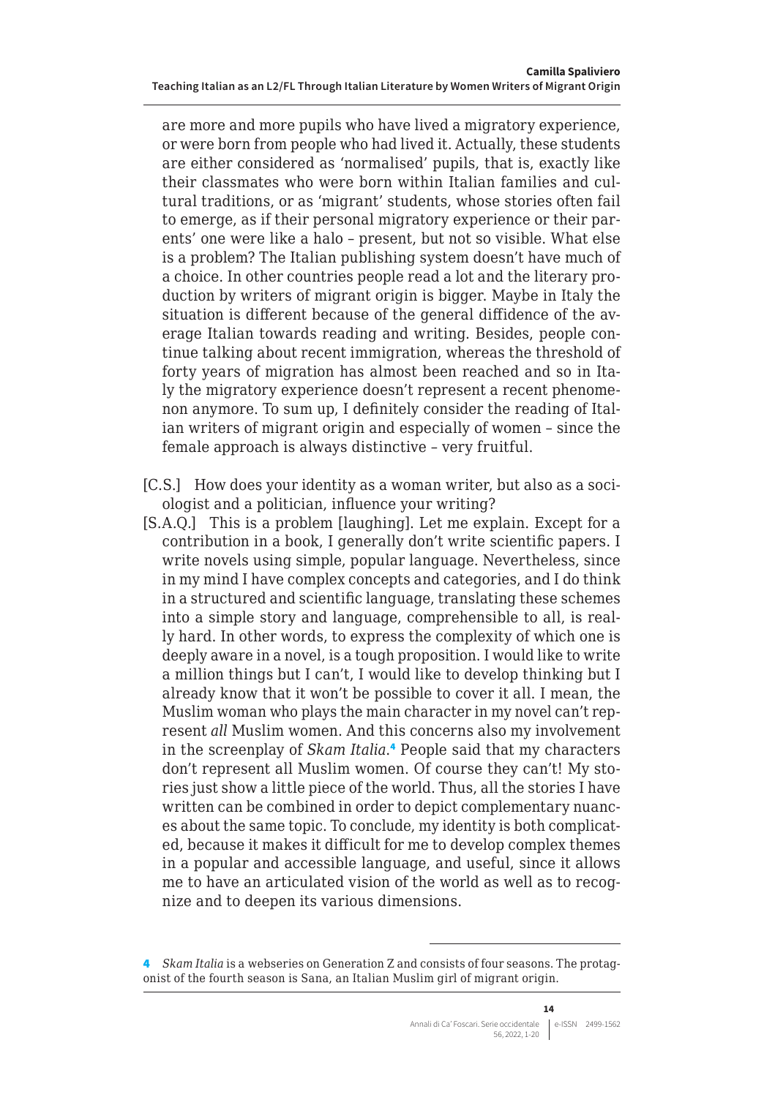are more and more pupils who have lived a migratory experience, or were born from people who had lived it. Actually, these students are either considered as 'normalised' pupils, that is, exactly like their classmates who were born within Italian families and cultural traditions, or as 'migrant' students, whose stories often fail to emerge, as if their personal migratory experience or their parents' one were like a halo – present, but not so visible. What else is a problem? The Italian publishing system doesn't have much of a choice. In other countries people read a lot and the literary production by writers of migrant origin is bigger. Maybe in Italy the situation is different because of the general diffidence of the average Italian towards reading and writing. Besides, people continue talking about recent immigration, whereas the threshold of forty years of migration has almost been reached and so in Italy the migratory experience doesn't represent a recent phenomenon anymore. To sum up, I definitely consider the reading of Italian writers of migrant origin and especially of women – since the female approach is always distinctive – very fruitful.

- [C.S.] How does your identity as a woman writer, but also as a sociologist and a politician, influence your writing?
- [S.A.Q.] This is a problem [laughing]. Let me explain. Except for a contribution in a book, I generally don't write scientific papers. I write novels using simple, popular language. Nevertheless, since in my mind I have complex concepts and categories, and I do think in a structured and scientific language, translating these schemes into a simple story and language, comprehensible to all, is really hard. In other words, to express the complexity of which one is deeply aware in a novel, is a tough proposition. I would like to write a million things but I can't, I would like to develop thinking but I already know that it won't be possible to cover it all. I mean, the Muslim woman who plays the main character in my novel can't represent *all* Muslim women. And this concerns also my involvement in the screenplay of *Skam Italia*. 4 People said that my characters don't represent all Muslim women. Of course they can't! My stories just show a little piece of the world. Thus, all the stories I have written can be combined in order to depict complementary nuances about the same topic. To conclude, my identity is both complicated, because it makes it difficult for me to develop complex themes in a popular and accessible language, and useful, since it allows me to have an articulated vision of the world as well as to recognize and to deepen its various dimensions.

<sup>4</sup> *Skam Italia* is a webseries on Generation Z and consists of four seasons. The protagonist of the fourth season is Sana, an Italian Muslim girl of migrant origin.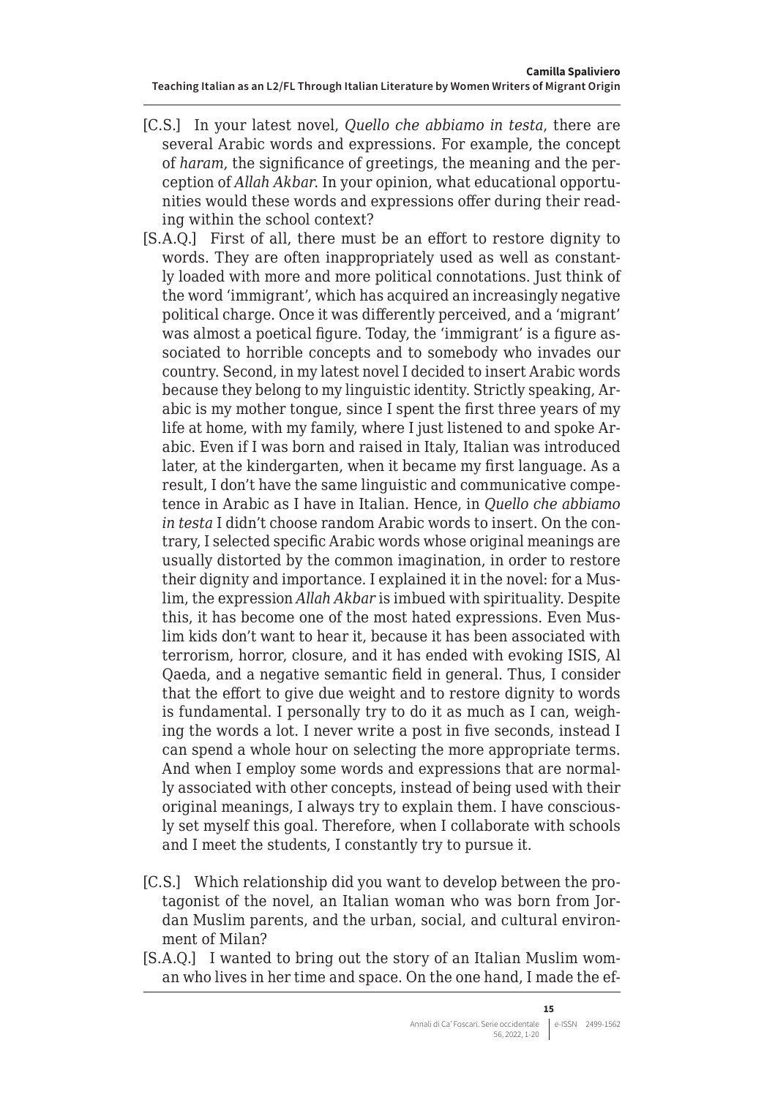- [C.S.] In your latest novel, *Quello che abbiamo in testa*, there are several Arabic words and expressions. For example, the concept of *haram*, the significance of greetings, the meaning and the perception of *Allah Akbar*. In your opinion, what educational opportunities would these words and expressions offer during their reading within the school context?
- [S.A.Q.] First of all, there must be an effort to restore dignity to words. They are often inappropriately used as well as constantly loaded with more and more political connotations. Just think of the word 'immigrant', which has acquired an increasingly negative political charge. Once it was differently perceived, and a 'migrant' was almost a poetical figure. Today, the 'immigrant' is a figure associated to horrible concepts and to somebody who invades our country. Second, in my latest novel I decided to insert Arabic words because they belong to my linguistic identity. Strictly speaking, Arabic is my mother tongue, since I spent the first three years of my life at home, with my family, where I just listened to and spoke Arabic. Even if I was born and raised in Italy, Italian was introduced later, at the kindergarten, when it became my first language. As a result, I don't have the same linguistic and communicative competence in Arabic as I have in Italian. Hence, in *Quello che abbiamo in testa* I didn't choose random Arabic words to insert. On the contrary, I selected specific Arabic words whose original meanings are usually distorted by the common imagination, in order to restore their dignity and importance. I explained it in the novel: for a Muslim, the expression *Allah Akbar* is imbued with spirituality. Despite this, it has become one of the most hated expressions. Even Muslim kids don't want to hear it, because it has been associated with terrorism, horror, closure, and it has ended with evoking ISIS, Al Qaeda, and a negative semantic field in general. Thus, I consider that the effort to give due weight and to restore dignity to words is fundamental. I personally try to do it as much as I can, weighing the words a lot. I never write a post in five seconds, instead I can spend a whole hour on selecting the more appropriate terms. And when I employ some words and expressions that are normally associated with other concepts, instead of being used with their original meanings, I always try to explain them. I have consciously set myself this goal. Therefore, when I collaborate with schools and I meet the students, I constantly try to pursue it.
- [C.S.] Which relationship did you want to develop between the protagonist of the novel, an Italian woman who was born from Jordan Muslim parents, and the urban, social, and cultural environment of Milan?
- [S.A.Q.] I wanted to bring out the story of an Italian Muslim woman who lives in her time and space. On the one hand, I made the ef-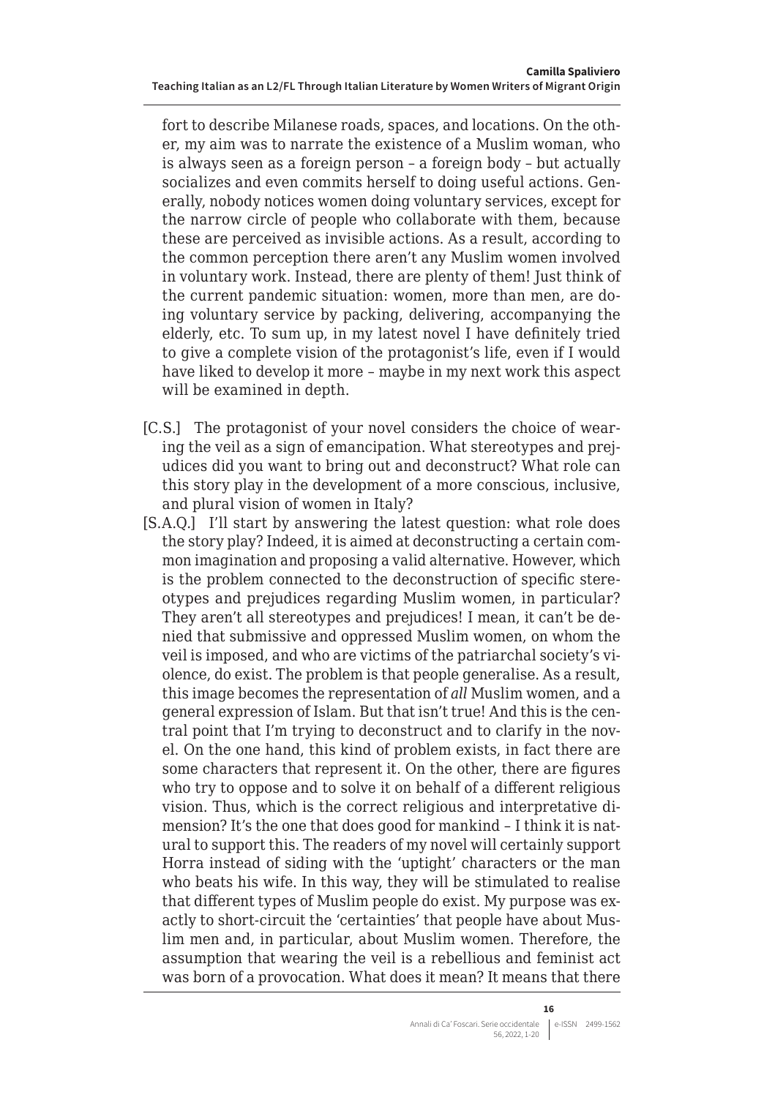fort to describe Milanese roads, spaces, and locations. On the other, my aim was to narrate the existence of a Muslim woman, who is always seen as a foreign person – a foreign body – but actually socializes and even commits herself to doing useful actions. Generally, nobody notices women doing voluntary services, except for the narrow circle of people who collaborate with them, because these are perceived as invisible actions. As a result, according to the common perception there aren't any Muslim women involved in voluntary work. Instead, there are plenty of them! Just think of the current pandemic situation: women, more than men, are doing voluntary service by packing, delivering, accompanying the elderly, etc. To sum up, in my latest novel I have definitely tried to give a complete vision of the protagonist's life, even if I would have liked to develop it more – maybe in my next work this aspect will be examined in depth.

- [C.S.] The protagonist of your novel considers the choice of wearing the veil as a sign of emancipation. What stereotypes and prejudices did you want to bring out and deconstruct? What role can this story play in the development of a more conscious, inclusive, and plural vision of women in Italy?
- [S.A.Q.] I'll start by answering the latest question: what role does the story play? Indeed, it is aimed at deconstructing a certain common imagination and proposing a valid alternative. However, which is the problem connected to the deconstruction of specific stereotypes and prejudices regarding Muslim women, in particular? They aren't all stereotypes and prejudices! I mean, it can't be denied that submissive and oppressed Muslim women, on whom the veil is imposed, and who are victims of the patriarchal society's violence, do exist. The problem is that people generalise. As a result, this image becomes the representation of *all* Muslim women, and a general expression of Islam. But that isn't true! And this is the central point that I'm trying to deconstruct and to clarify in the novel. On the one hand, this kind of problem exists, in fact there are some characters that represent it. On the other, there are figures who try to oppose and to solve it on behalf of a different religious vision. Thus, which is the correct religious and interpretative dimension? It's the one that does good for mankind – I think it is natural to support this. The readers of my novel will certainly support Horra instead of siding with the 'uptight' characters or the man who beats his wife. In this way, they will be stimulated to realise that different types of Muslim people do exist. My purpose was exactly to short-circuit the 'certainties' that people have about Muslim men and, in particular, about Muslim women. Therefore, the assumption that wearing the veil is a rebellious and feminist act was born of a provocation. What does it mean? It means that there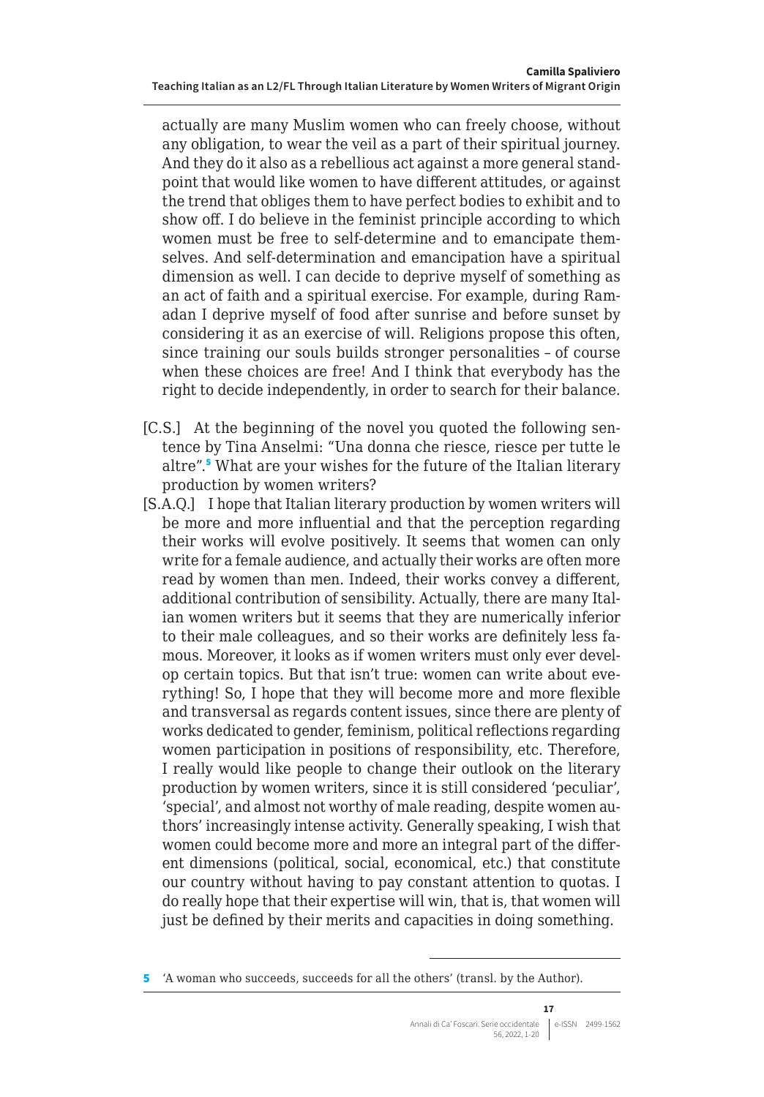<span id="page-16-0"></span>actually are many Muslim women who can freely choose, without any obligation, to wear the veil as a part of their spiritual journey. And they do it also as a rebellious act against a more general standpoint that would like women to have different attitudes, or against the trend that obliges them to have perfect bodies to exhibit and to show off. I do believe in the feminist principle according to which women must be free to self-determine and to emancipate themselves. And self-determination and emancipation have a spiritual dimension as well. I can decide to deprive myself of something as an act of faith and a spiritual exercise. For example, during Ramadan I deprive myself of food after sunrise and before sunset by considering it as an exercise of will. Religions propose this often, since training our souls builds stronger personalities – of course when these choices are free! And I think that everybody has the right to decide independently, in order to search for their balance.

- [C.S.] At the beginning of the novel you quoted the following sentence by Tina Anselmi: "Una donna che riesce, riesce per tutte le altre".<sup>5</sup> What are your wishes for the future of the Italian literary production by women writers?
- [S.A.Q.] I hope that Italian literary production by women writers will be more and more influential and that the perception regarding their works will evolve positively. It seems that women can only write for a female audience, and actually their works are often more read by women than men. Indeed, their works convey a different, additional contribution of sensibility. Actually, there are many Italian women writers but it seems that they are numerically inferior to their male colleagues, and so their works are definitely less famous. Moreover, it looks as if women writers must only ever develop certain topics. But that isn't true: women can write about everything! So, I hope that they will become more and more flexible and transversal as regards content issues, since there are plenty of works dedicated to gender, feminism, political reflections regarding women participation in positions of responsibility, etc. Therefore, I really would like people to change their outlook on the literary production by women writers, since it is still considered 'peculiar', 'special', and almost not worthy of male reading, despite women authors' increasingly intense activity. Generally speaking, I wish that women could become more and more an integral part of the different dimensions (political, social, economical, etc.) that constitute our country without having to pay constant attention to quotas. I do really hope that their expertise will win, that is, that women will just be defined by their merits and capacities in doing something.

<sup>5</sup> 'A woman who succeeds, succeeds for all the others' (transl. by the Author).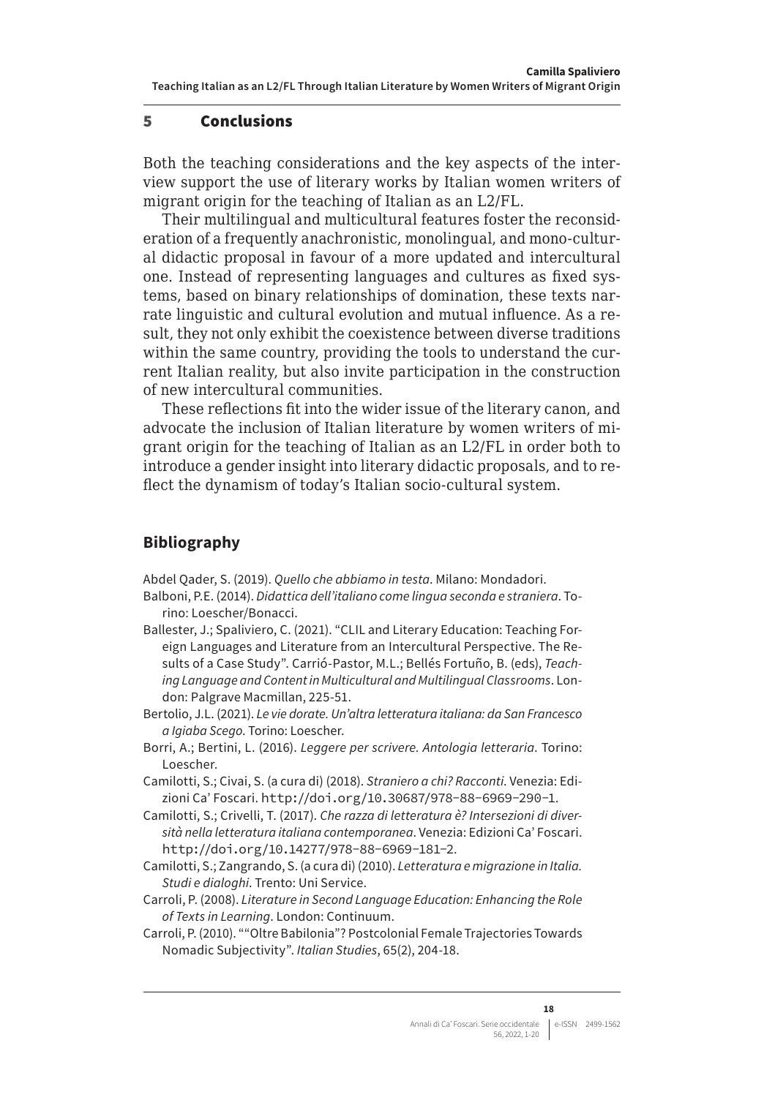### 5 Conclusions

Both the teaching considerations and the key aspects of the interview support the use of literary works by Italian women writers of migrant origin for the teaching of Italian as an L2/FL.

Their multilingual and multicultural features foster the reconsideration of a frequently anachronistic, monolingual, and mono-cultural didactic proposal in favour of a more updated and intercultural one. Instead of representing languages and cultures as fixed systems, based on binary relationships of domination, these texts narrate linguistic and cultural evolution and mutual influence. As a result, they not only exhibit the coexistence between diverse traditions within the same country, providing the tools to understand the current Italian reality, but also invite participation in the construction of new intercultural communities.

These reflections fit into the wider issue of the literary canon, and advocate the inclusion of Italian literature by women writers of migrant origin for the teaching of Italian as an L2/FL in order both to introduce a gender insight into literary didactic proposals, and to reflect the dynamism of today's Italian socio-cultural system.

# **Bibliography**

Abdel Qader, S. (2019). *Quello che abbiamo in testa*. Milano: Mondadori.

- Balboni, P.E. (2014). *Didattica dell'italiano come lingua seconda e straniera*. Torino: Loescher/Bonacci.
- Ballester, J.; Spaliviero, C. (2021). "CLIL and Literary Education: Teaching Foreign Languages and Literature from an Intercultural Perspective. The Results of a Case Study". Carrió-Pastor, M.L.; Bellés Fortuño, B. (eds), *Teaching Language and Content in Multicultural and Multilingual Classrooms*. London: Palgrave Macmillan, 225-51.
- Bertolio, J.L. (2021). *Le vie dorate. Un'altra letteratura italiana: da San Francesco a Igiaba Scego*. Torino: Loescher.
- Borri, A.; Bertini, L. (2016). *Leggere per scrivere. Antologia letteraria*. Torino: Loescher.
- Camilotti, S.; Civai, S. (a cura di) (2018). *Straniero a chi? Racconti*. Venezia: Edizioni Ca' Foscari. <http://doi.org/10.30687/978-88-6969-290-1>.
- Camilotti, S.; Crivelli, T. (2017). *Che razza di letteratura è? Intersezioni di diversità nella letteratura italiana contemporanea*. Venezia: Edizioni Ca' Foscari. <http://doi.org/10.14277/978-88-6969-181-2>.
- Camilotti, S.; Zangrando, S. (a cura di) (2010). *Letteratura e migrazione in Italia. Studi e dialoghi*. Trento: Uni Service.
- Carroli, P. (2008). *Literature in Second Language Education: Enhancing the Role of Texts in Learning*. London: Continuum.
- Carroli, P. (2010). ""Oltre Babilonia"? Postcolonial Female Trajectories Towards Nomadic Subjectivity". *Italian Studies*, 65(2), 204-18.